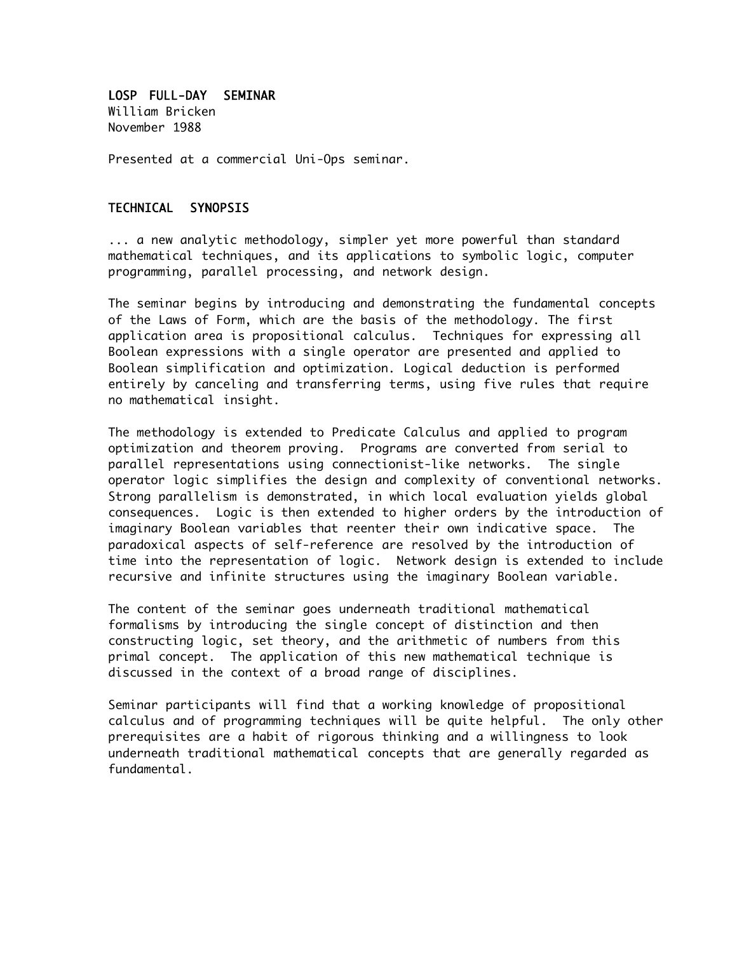LOSP FULL-DAY SEMINAR William Bricken November 1988

Presented at a commercial Uni-Ops seminar.

#### TECHNICAL SYNOPSIS

... a new analytic methodology, simpler yet more powerful than standard mathematical techniques, and its applications to symbolic logic, computer programming, parallel processing, and network design.

The seminar begins by introducing and demonstrating the fundamental concepts of the Laws of Form, which are the basis of the methodology. The first application area is propositional calculus. Techniques for expressing all Boolean expressions with a single operator are presented and applied to Boolean simplification and optimization. Logical deduction is performed entirely by canceling and transferring terms, using five rules that require no mathematical insight.

The methodology is extended to Predicate Calculus and applied to program optimization and theorem proving. Programs are converted from serial to parallel representations using connectionist-like networks. The single operator logic simplifies the design and complexity of conventional networks. Strong parallelism is demonstrated, in which local evaluation yields global consequences. Logic is then extended to higher orders by the introduction of imaginary Boolean variables that reenter their own indicative space. The paradoxical aspects of self-reference are resolved by the introduction of time into the representation of logic. Network design is extended to include recursive and infinite structures using the imaginary Boolean variable.

The content of the seminar goes underneath traditional mathematical formalisms by introducing the single concept of distinction and then constructing logic, set theory, and the arithmetic of numbers from this primal concept. The application of this new mathematical technique is discussed in the context of a broad range of disciplines.

Seminar participants will find that a working knowledge of propositional calculus and of programming techniques will be quite helpful. The only other prerequisites are a habit of rigorous thinking and a willingness to look underneath traditional mathematical concepts that are generally regarded as fundamental.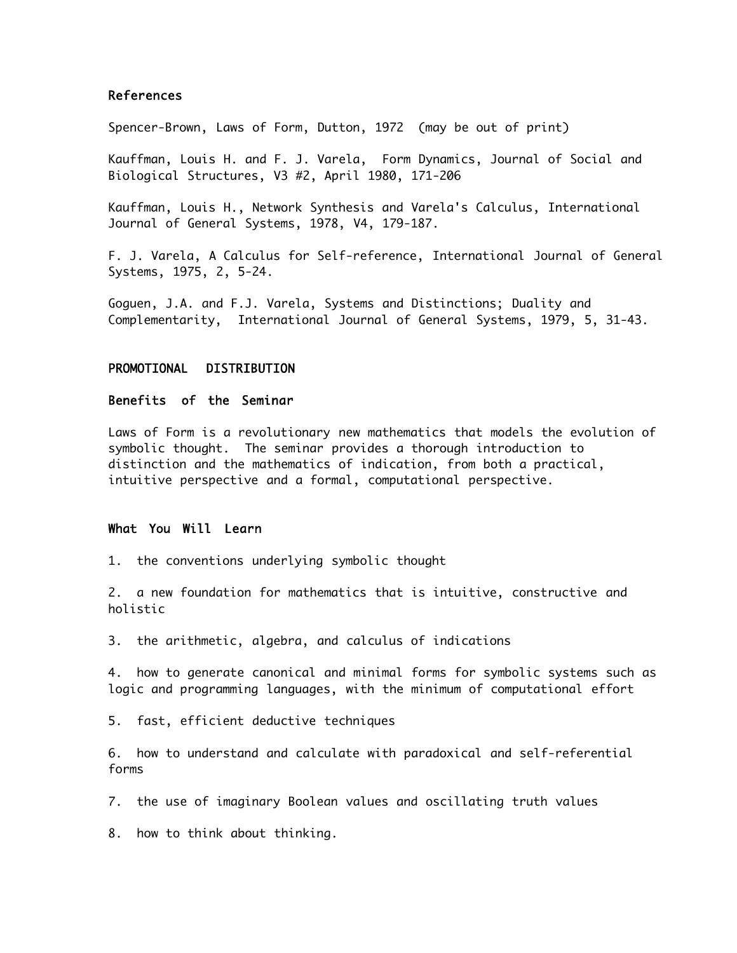#### References

Spencer-Brown, Laws of Form, Dutton, 1972 (may be out of print)

Kauffman, Louis H. and F. J. Varela, Form Dynamics, Journal of Social and Biological Structures, V3 #2, April 1980, 171-206

Kauffman, Louis H., Network Synthesis and Varela's Calculus, International Journal of General Systems, 1978, V4, 179-187.

F. J. Varela, A Calculus for Self-reference, International Journal of General Systems, 1975, 2, 5-24.

Goguen, J.A. and F.J. Varela, Systems and Distinctions; Duality and Complementarity, International Journal of General Systems, 1979, 5, 31-43.

#### PROMOTIONAL DISTRIBUTION

#### Benefits of the Seminar

Laws of Form is a revolutionary new mathematics that models the evolution of symbolic thought. The seminar provides a thorough introduction to distinction and the mathematics of indication, from both a practical, intuitive perspective and a formal, computational perspective.

#### What You Will Learn

1. the conventions underlying symbolic thought

2. a new foundation for mathematics that is intuitive, constructive and holistic

3. the arithmetic, algebra, and calculus of indications

4. how to generate canonical and minimal forms for symbolic systems such as logic and programming languages, with the minimum of computational effort

5. fast, efficient deductive techniques

6. how to understand and calculate with paradoxical and self-referential forms

7. the use of imaginary Boolean values and oscillating truth values

8. how to think about thinking.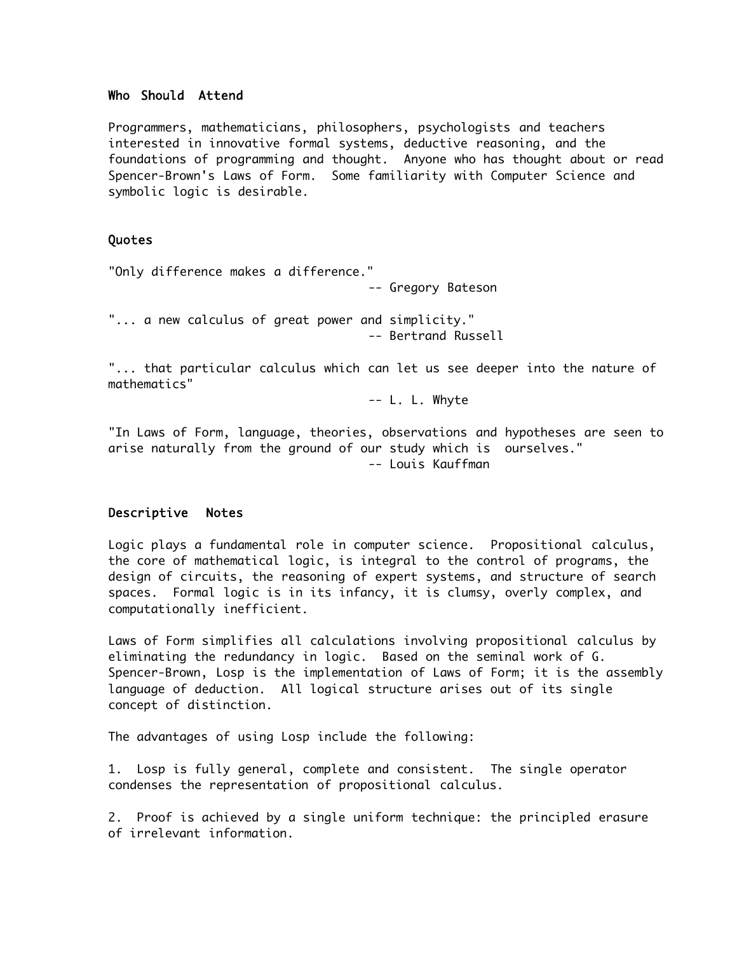#### Who Should Attend

Programmers, mathematicians, philosophers, psychologists and teachers interested in innovative formal systems, deductive reasoning, and the foundations of programming and thought. Anyone who has thought about or read Spencer-Brown's Laws of Form. Some familiarity with Computer Science and symbolic logic is desirable.

#### Quotes

"Only difference makes a difference."

-- Gregory Bateson

"... a new calculus of great power and simplicity." -- Bertrand Russell

"... that particular calculus which can let us see deeper into the nature of mathematics"

-- L. L. Whyte

"In Laws of Form, language, theories, observations and hypotheses are seen to arise naturally from the ground of our study which is ourselves." -- Louis Kauffman

#### Descriptive Notes

Logic plays a fundamental role in computer science. Propositional calculus, the core of mathematical logic, is integral to the control of programs, the design of circuits, the reasoning of expert systems, and structure of search spaces. Formal logic is in its infancy, it is clumsy, overly complex, and computationally inefficient.

Laws of Form simplifies all calculations involving propositional calculus by eliminating the redundancy in logic. Based on the seminal work of G. Spencer-Brown, Losp is the implementation of Laws of Form; it is the assembly language of deduction. All logical structure arises out of its single concept of distinction.

The advantages of using Losp include the following:

1. Losp is fully general, complete and consistent. The single operator condenses the representation of propositional calculus.

2. Proof is achieved by a single uniform technique: the principled erasure of irrelevant information.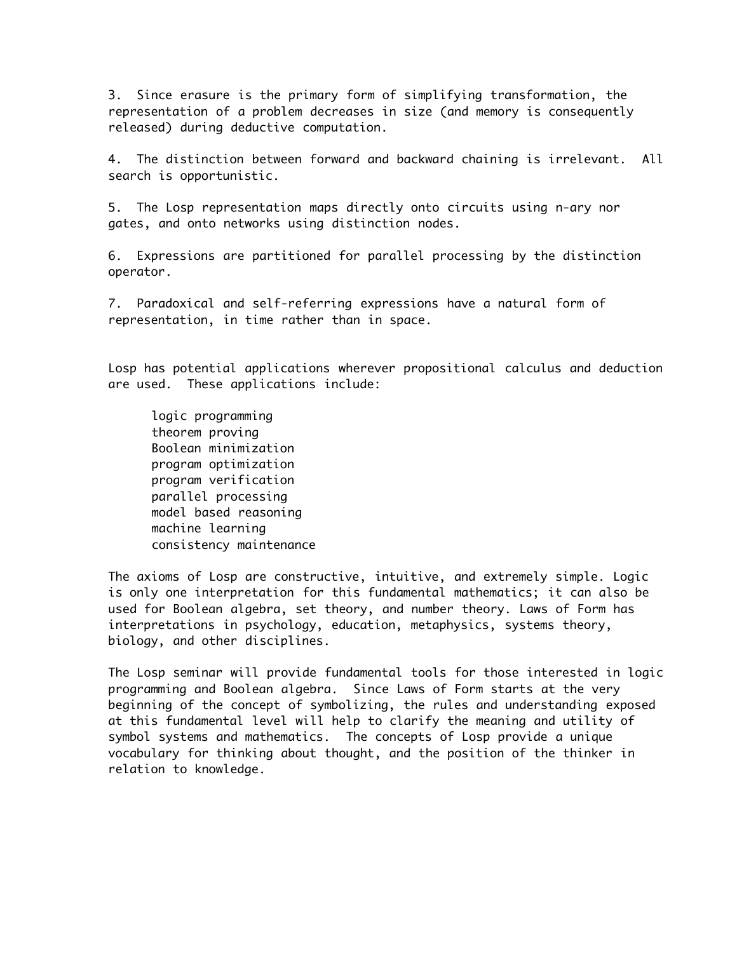3. Since erasure is the primary form of simplifying transformation, the representation of a problem decreases in size (and memory is consequently released) during deductive computation.

4. The distinction between forward and backward chaining is irrelevant. All search is opportunistic.

5. The Losp representation maps directly onto circuits using n-ary nor gates, and onto networks using distinction nodes.

6. Expressions are partitioned for parallel processing by the distinction operator.

7. Paradoxical and self-referring expressions have a natural form of representation, in time rather than in space.

Losp has potential applications wherever propositional calculus and deduction are used. These applications include:

logic programming theorem proving Boolean minimization program optimization program verification parallel processing model based reasoning machine learning consistency maintenance

The axioms of Losp are constructive, intuitive, and extremely simple. Logic is only one interpretation for this fundamental mathematics; it can also be used for Boolean algebra, set theory, and number theory. Laws of Form has interpretations in psychology, education, metaphysics, systems theory, biology, and other disciplines.

The Losp seminar will provide fundamental tools for those interested in logic programming and Boolean algebra. Since Laws of Form starts at the very beginning of the concept of symbolizing, the rules and understanding exposed at this fundamental level will help to clarify the meaning and utility of symbol systems and mathematics. The concepts of Losp provide a unique vocabulary for thinking about thought, and the position of the thinker in relation to knowledge.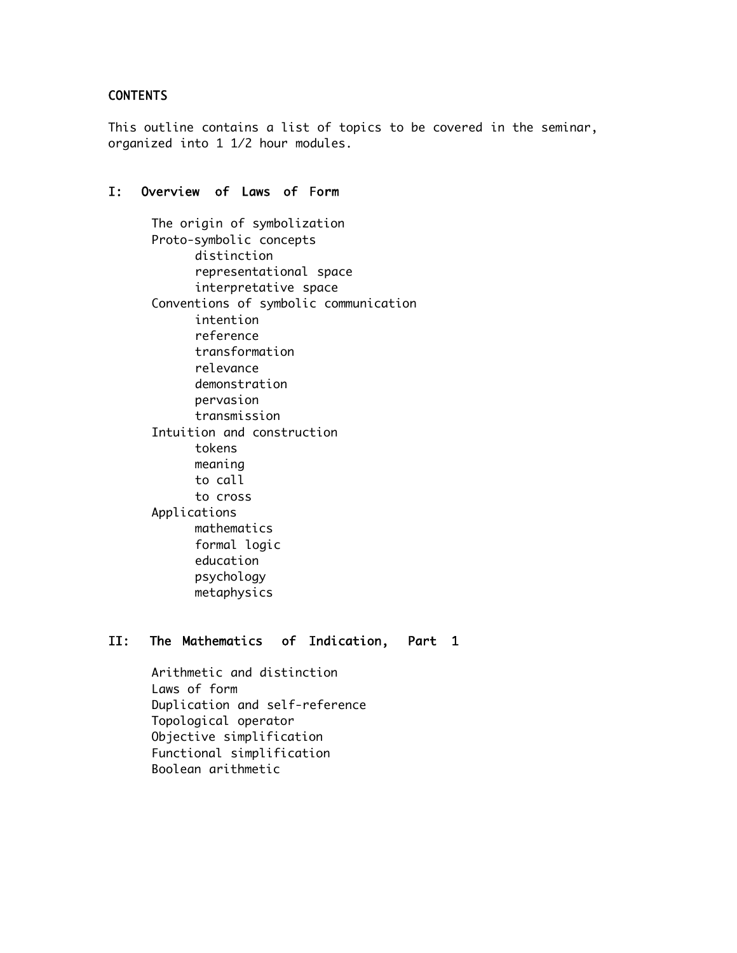## CONTENTS

This outline contains a list of topics to be covered in the seminar, organized into 1 1/2 hour modules.

#### I: Overview of Laws of Form

The origin of symbolization Proto-symbolic concepts distinction representational space interpretative space Conventions of symbolic communication intention reference transformation relevance demonstration pervasion transmission Intuition and construction tokens meaning to call to cross Applications mathematics formal logic education psychology metaphysics

### II: The Mathematics of Indication, Part 1

Arithmetic and distinction Laws of form Duplication and self-reference Topological operator Objective simplification Functional simplification Boolean arithmetic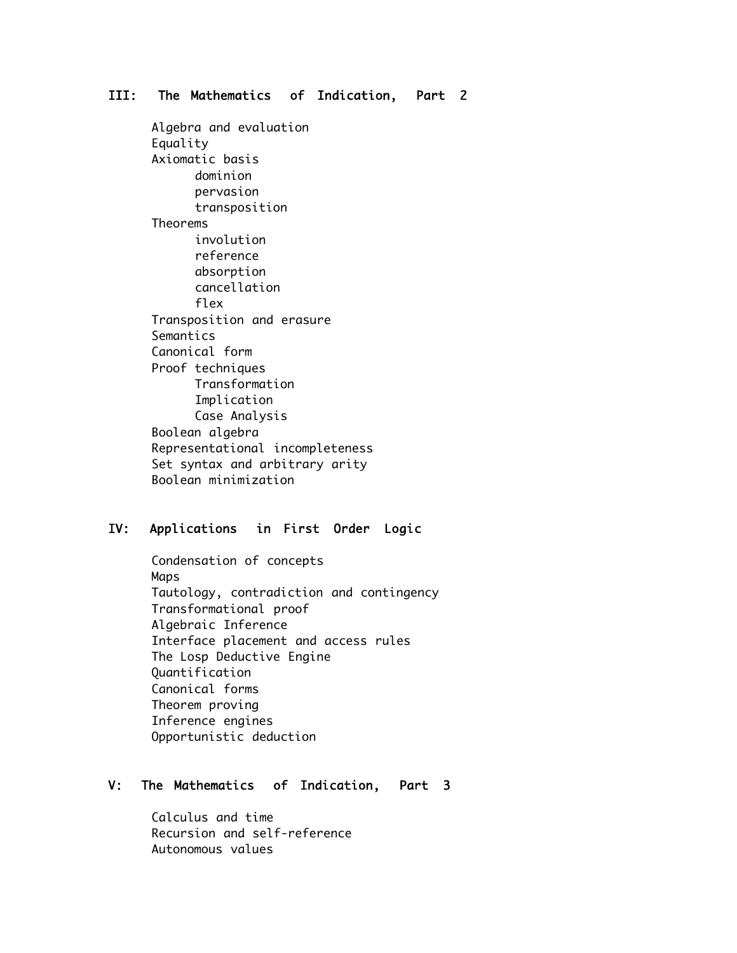## III: The Mathematics of Indication, Part 2

Algebra and evaluation Equality Axiomatic basis dominion pervasion transposition Theorems involution reference absorption cancellation flex Transposition and erasure Semantics Canonical form Proof techniques Transformation Implication Case Analysis Boolean algebra Representational incompleteness Set syntax and arbitrary arity Boolean minimization

#### IV: Applications in First Order Logic

Condensation of concepts Maps Tautology, contradiction and contingency Transformational proof Algebraic Inference Interface placement and access rules The Losp Deductive Engine Quantification Canonical forms Theorem proving Inference engines Opportunistic deduction

#### V: The Mathematics of Indication, Part 3

Calculus and time Recursion and self-reference Autonomous values